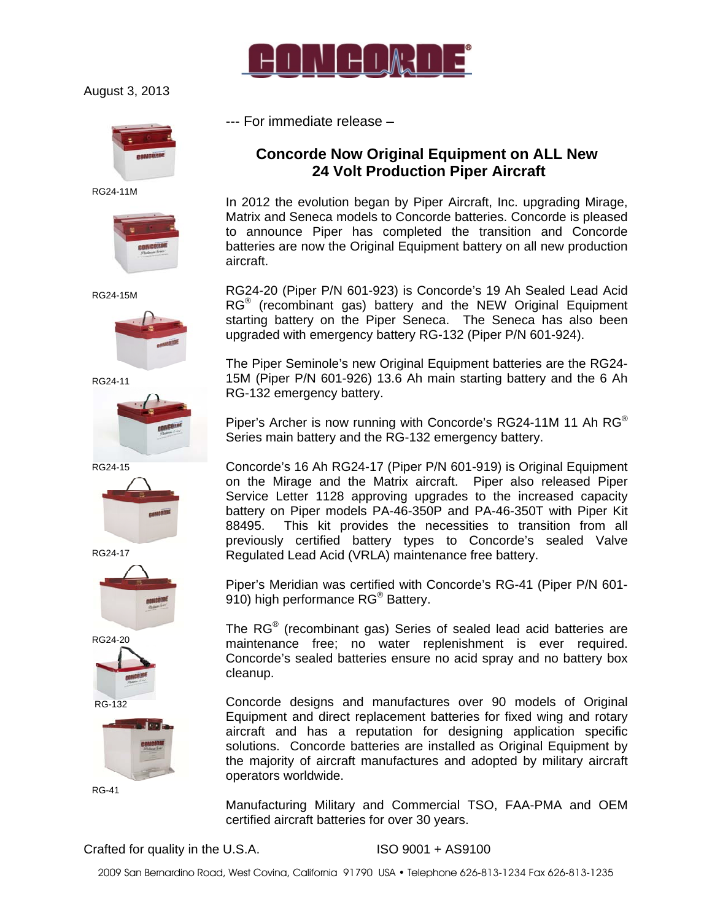August 3, 2013



RG24-11M



RG24-15M



RG24-11



RG24-15



RG24-17



RG24-20

RG-132



RG-41

--- For immediate release –

## **Concorde Now Original Equipment on ALL New 24 Volt Production Piper Aircraft**

In 2012 the evolution began by Piper Aircraft, Inc. upgrading Mirage, Matrix and Seneca models to Concorde batteries. Concorde is pleased to announce Piper has completed the transition and Concorde batteries are now the Original Equipment battery on all new production aircraft.

RG24-20 (Piper P/N 601-923) is Concorde's 19 Ah Sealed Lead Acid RG<sup>®</sup> (recombinant gas) battery and the NEW Original Equipment starting battery on the Piper Seneca. The Seneca has also been upgraded with emergency battery RG-132 (Piper P/N 601-924).

The Piper Seminole's new Original Equipment batteries are the RG24- 15M (Piper P/N 601-926) 13.6 Ah main starting battery and the 6 Ah RG-132 emergency battery.

Piper's Archer is now running with Concorde's RG24-11M 11 Ah RG® Series main battery and the RG-132 emergency battery.

Concorde's 16 Ah RG24-17 (Piper P/N 601-919) is Original Equipment on the Mirage and the Matrix aircraft. Piper also released Piper Service Letter 1128 approving upgrades to the increased capacity battery on Piper models PA-46-350P and PA-46-350T with Piper Kit 88495. This kit provides the necessities to transition from all previously certified battery types to Concorde's sealed Valve Regulated Lead Acid (VRLA) maintenance free battery.

Piper's Meridian was certified with Concorde's RG-41 (Piper P/N 601- 910) high performance RG<sup>®</sup> Battery.

The RG® (recombinant gas) Series of sealed lead acid batteries are maintenance free; no water replenishment is ever required. Concorde's sealed batteries ensure no acid spray and no battery box cleanup.

Concorde designs and manufactures over 90 models of Original Equipment and direct replacement batteries for fixed wing and rotary aircraft and has a reputation for designing application specific solutions. Concorde batteries are installed as Original Equipment by the majority of aircraft manufactures and adopted by military aircraft operators worldwide.

Manufacturing Military and Commercial TSO, FAA-PMA and OEM certified aircraft batteries for over 30 years.

Crafted for quality in the U.S.A. ISO 9001 + AS9100